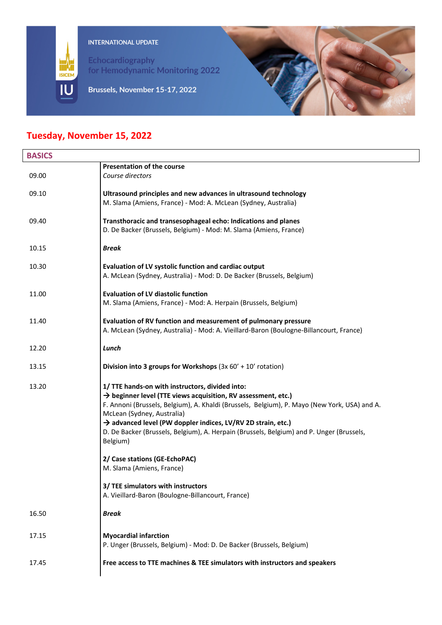

INTERNATIONAL UPDATE

Echocardiography for Hemodynamic Monitoring 2022

Brussels, November 15-17, 2022



## **Tuesday, November 15, 2022**

| <b>BASICS</b> |                                                                                                                                                                                                                                                                                                                                                                                                                                    |
|---------------|------------------------------------------------------------------------------------------------------------------------------------------------------------------------------------------------------------------------------------------------------------------------------------------------------------------------------------------------------------------------------------------------------------------------------------|
|               | <b>Presentation of the course</b>                                                                                                                                                                                                                                                                                                                                                                                                  |
| 09.00         | Course directors                                                                                                                                                                                                                                                                                                                                                                                                                   |
| 09.10         | Ultrasound principles and new advances in ultrasound technology                                                                                                                                                                                                                                                                                                                                                                    |
|               | M. Slama (Amiens, France) - Mod: A. McLean (Sydney, Australia)                                                                                                                                                                                                                                                                                                                                                                     |
| 09.40         | Transthoracic and transesophageal echo: Indications and planes<br>D. De Backer (Brussels, Belgium) - Mod: M. Slama (Amiens, France)                                                                                                                                                                                                                                                                                                |
| 10.15         | <b>Break</b>                                                                                                                                                                                                                                                                                                                                                                                                                       |
| 10.30         | Evaluation of LV systolic function and cardiac output                                                                                                                                                                                                                                                                                                                                                                              |
|               | A. McLean (Sydney, Australia) - Mod: D. De Backer (Brussels, Belgium)                                                                                                                                                                                                                                                                                                                                                              |
| 11.00         | <b>Evaluation of LV diastolic function</b>                                                                                                                                                                                                                                                                                                                                                                                         |
|               | M. Slama (Amiens, France) - Mod: A. Herpain (Brussels, Belgium)                                                                                                                                                                                                                                                                                                                                                                    |
| 11.40         | Evaluation of RV function and measurement of pulmonary pressure                                                                                                                                                                                                                                                                                                                                                                    |
|               | A. McLean (Sydney, Australia) - Mod: A. Vieillard-Baron (Boulogne-Billancourt, France)                                                                                                                                                                                                                                                                                                                                             |
| 12.20         | Lunch                                                                                                                                                                                                                                                                                                                                                                                                                              |
| 13.15         | Division into 3 groups for Workshops $(3x 60' + 10'$ rotation)                                                                                                                                                                                                                                                                                                                                                                     |
| 13.20         | 1/ TTE hands-on with instructors, divided into:<br>$\rightarrow$ beginner level (TTE views acquisition, RV assessment, etc.)<br>F. Annoni (Brussels, Belgium), A. Khaldi (Brussels, Belgium), P. Mayo (New York, USA) and A.<br>McLean (Sydney, Australia)<br>A advanced level (PW doppler indices, LV/RV 2D strain, etc.)<br>D. De Backer (Brussels, Belgium), A. Herpain (Brussels, Belgium) and P. Unger (Brussels,<br>Belgium) |
|               | 2/ Case stations (GE-EchoPAC)<br>M. Slama (Amiens, France)                                                                                                                                                                                                                                                                                                                                                                         |
|               | 3/ TEE simulators with instructors<br>A. Vieillard-Baron (Boulogne-Billancourt, France)                                                                                                                                                                                                                                                                                                                                            |
| 16.50         | <b>Break</b>                                                                                                                                                                                                                                                                                                                                                                                                                       |
| 17.15         | <b>Myocardial infarction</b><br>P. Unger (Brussels, Belgium) - Mod: D. De Backer (Brussels, Belgium)                                                                                                                                                                                                                                                                                                                               |
| 17.45         | Free access to TTE machines & TEE simulators with instructors and speakers                                                                                                                                                                                                                                                                                                                                                         |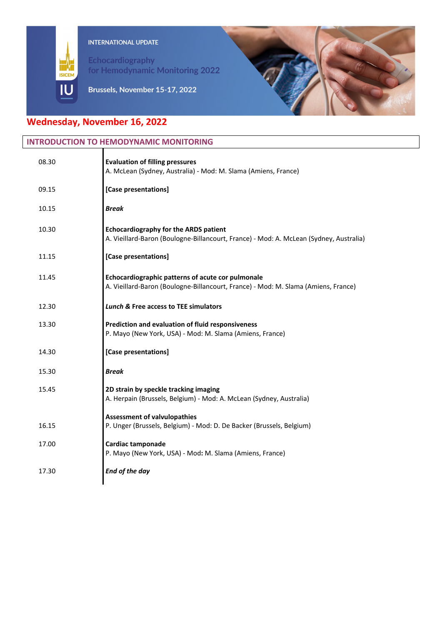

Echocardiography for Hemodynamic Monitoring 2022



## Brussels, November 15-17, 2022

# **Wednesday, November 16, 2022**

IU

| <b>INTRODUCTION TO HEMODYNAMIC MONITORING</b> |                                                                                                                                         |
|-----------------------------------------------|-----------------------------------------------------------------------------------------------------------------------------------------|
| 08.30                                         | <b>Evaluation of filling pressures</b><br>A. McLean (Sydney, Australia) - Mod: M. Slama (Amiens, France)                                |
| 09.15                                         | [Case presentations]                                                                                                                    |
| 10.15                                         | <b>Break</b>                                                                                                                            |
| 10.30                                         | <b>Echocardiography for the ARDS patient</b><br>A. Vieillard-Baron (Boulogne-Billancourt, France) - Mod: A. McLean (Sydney, Australia)  |
| 11.15                                         | [Case presentations]                                                                                                                    |
| 11.45                                         | Echocardiographic patterns of acute cor pulmonale<br>A. Vieillard-Baron (Boulogne-Billancourt, France) - Mod: M. Slama (Amiens, France) |
| 12.30                                         | <b>Lunch &amp; Free access to TEE simulators</b>                                                                                        |
| 13.30                                         | Prediction and evaluation of fluid responsiveness<br>P. Mayo (New York, USA) - Mod: M. Slama (Amiens, France)                           |
| 14.30                                         | [Case presentations]                                                                                                                    |
| 15.30                                         | <b>Break</b>                                                                                                                            |
| 15.45                                         | 2D strain by speckle tracking imaging<br>A. Herpain (Brussels, Belgium) - Mod: A. McLean (Sydney, Australia)                            |
| 16.15                                         | <b>Assessment of valvulopathies</b><br>P. Unger (Brussels, Belgium) - Mod: D. De Backer (Brussels, Belgium)                             |
| 17.00                                         | Cardiac tamponade<br>P. Mayo (New York, USA) - Mod: M. Slama (Amiens, France)                                                           |
| 17.30                                         | End of the day                                                                                                                          |
|                                               |                                                                                                                                         |